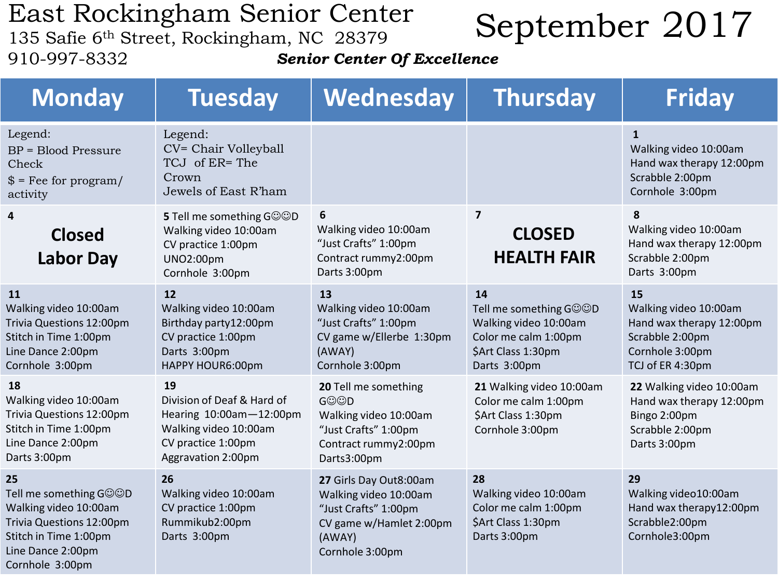## East Rockingham Senior Center

910-997-8332

## Last ROCKINgham Senior Center<br>135 Safie 6th Street, Rockingham, NC 28379<br>135 Safie 6th Street, Rockingham, NC 28379

*Senior Center Of Excellence*

| <b>Monday</b>                                                                                                                                      | <b>Tuesday</b>                                                                                                                   | Wednesday                                                                                                                       | <b>Thursday</b>                                                                                                     | <b>Friday</b>                                                                                                     |
|----------------------------------------------------------------------------------------------------------------------------------------------------|----------------------------------------------------------------------------------------------------------------------------------|---------------------------------------------------------------------------------------------------------------------------------|---------------------------------------------------------------------------------------------------------------------|-------------------------------------------------------------------------------------------------------------------|
| Legend:<br><b>BP</b> = Blood Pressure<br>Check<br>$$ =$ Fee for program/<br>activity                                                               | Legend:<br>CV= Chair Volleyball<br>TCJ of ER= The<br>Crown<br>Jewels of East R'ham                                               |                                                                                                                                 |                                                                                                                     | $\mathbf{1}$<br>Walking video 10:00am<br>Hand wax therapy 12:00pm<br>Scrabble 2:00pm<br>Cornhole 3:00pm           |
| 4<br><b>Closed</b><br><b>Labor Day</b>                                                                                                             | 5 Tell me something GOOD<br>Walking video 10:00am<br>CV practice 1:00pm<br><b>UNO2:00pm</b><br>Cornhole 3:00pm                   | 6<br>Walking video 10:00am<br>"Just Crafts" 1:00pm<br>Contract rummy2:00pm<br>Darts 3:00pm                                      | $\overline{7}$<br><b>CLOSED</b><br><b>HEALTH FAIR</b>                                                               | 8<br>Walking video 10:00am<br>Hand wax therapy 12:00pm<br>Scrabble 2:00pm<br>Darts 3:00pm                         |
| 11<br>Walking video 10:00am<br>Trivia Questions 12:00pm<br>Stitch in Time 1:00pm<br>Line Dance 2:00pm<br>Cornhole 3:00pm                           | 12<br>Walking video 10:00am<br>Birthday party12:00pm<br>CV practice 1:00pm<br>Darts 3:00pm<br>HAPPY HOUR6:00pm                   | 13<br>Walking video 10:00am<br>"Just Crafts" 1:00pm<br>CV game w/Ellerbe 1:30pm<br>(AWAY)<br>Cornhole 3:00pm                    | 14<br>Tell me something GOOD<br>Walking video 10:00am<br>Color me calm 1:00pm<br>\$Art Class 1:30pm<br>Darts 3:00pm | 15<br>Walking video 10:00am<br>Hand wax therapy 12:00pm<br>Scrabble 2:00pm<br>Cornhole 3:00pm<br>TCJ of ER 4:30pm |
| 18<br>Walking video 10:00am<br>Trivia Questions 12:00pm<br>Stitch in Time 1:00pm<br>Line Dance 2:00pm<br>Darts 3:00pm                              | 19<br>Division of Deaf & Hard of<br>Hearing 10:00am-12:00pm<br>Walking video 10:00am<br>CV practice 1:00pm<br>Aggravation 2:00pm | 20 Tell me something<br><b>GOOD</b><br>Walking video 10:00am<br>"Just Crafts" 1:00pm<br>Contract rummy2:00pm<br>Darts3:00pm     | 21 Walking video 10:00am<br>Color me calm 1:00pm<br>\$Art Class 1:30pm<br>Cornhole 3:00pm                           | 22 Walking video 10:00am<br>Hand wax therapy 12:00pm<br>Bingo 2:00pm<br>Scrabble 2:00pm<br>Darts 3:00pm           |
| 25<br>Tell me something G©©D<br>Walking video 10:00am<br>Trivia Questions 12:00pm<br>Stitch in Time 1:00pm<br>Line Dance 2:00pm<br>Cornhole 3:00pm | 26<br>Walking video 10:00am<br>CV practice 1:00pm<br>Rummikub2:00pm<br>Darts 3:00pm                                              | 27 Girls Day Out8:00am<br>Walking video 10:00am<br>"Just Crafts" 1:00pm<br>CV game w/Hamlet 2:00pm<br>(AWAY)<br>Cornhole 3:00pm | 28<br>Walking video 10:00am<br>Color me calm 1:00pm<br>\$Art Class 1:30pm<br>Darts 3:00pm                           | 29<br>Walking video10:00am<br>Hand wax therapy12:00pm<br>Scrabble2:00pm<br>Cornhole3:00pm                         |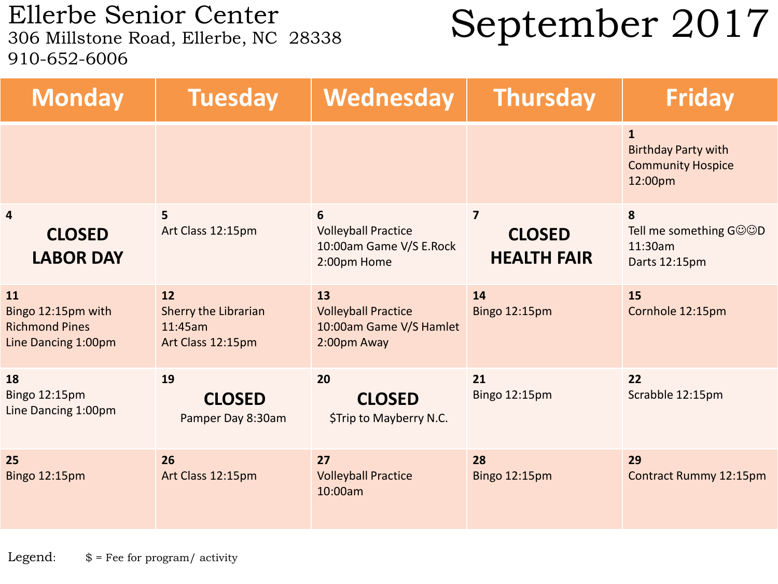Ellerbe Senior Center<br>306 Millstone Road, Ellerbe, NC 28338 910-652-6006

## September 2017

| <b>Monday</b>                                                            | <b>Tuesday</b>                                             | Wednesday                                                                  | <b>Thursday</b>                                       | <b>Friday</b>                                                                     |
|--------------------------------------------------------------------------|------------------------------------------------------------|----------------------------------------------------------------------------|-------------------------------------------------------|-----------------------------------------------------------------------------------|
|                                                                          |                                                            |                                                                            |                                                       | $\mathbf{1}$<br><b>Birthday Party with</b><br><b>Community Hospice</b><br>12:00pm |
| $\overline{4}$<br><b>CLOSED</b><br><b>LABOR DAY</b>                      | 5<br>Art Class 12:15pm                                     | 6<br><b>Volleyball Practice</b><br>10:00am Game V/S E.Rock<br>2:00pm Home  | $\overline{7}$<br><b>CLOSED</b><br><b>HEALTH FAIR</b> | 8<br>Tell me something GOOD<br>11:30am<br>Darts 12:15pm                           |
| 11<br>Bingo 12:15pm with<br><b>Richmond Pines</b><br>Line Dancing 1:00pm | 12<br>Sherry the Librarian<br>11:45am<br>Art Class 12:15pm | 13<br><b>Volleyball Practice</b><br>10:00am Game V/S Hamlet<br>2:00pm Away | 14<br><b>Bingo 12:15pm</b>                            | 15<br>Cornhole 12:15pm                                                            |
| 18<br>Bingo 12:15pm<br>Line Dancing 1:00pm                               | 19<br><b>CLOSED</b><br>Pamper Day 8:30am                   | 20<br><b>CLOSED</b><br>\$Trip to Mayberry N.C.                             | 21<br><b>Bingo 12:15pm</b>                            | 22<br>Scrabble 12:15pm                                                            |
| 25<br>Bingo 12:15pm                                                      | 26<br>Art Class 12:15pm                                    | 27<br><b>Volleyball Practice</b><br>10:00am                                | 28<br><b>Bingo 12:15pm</b>                            | 29<br><b>Contract Rummy 12:15pm</b>                                               |